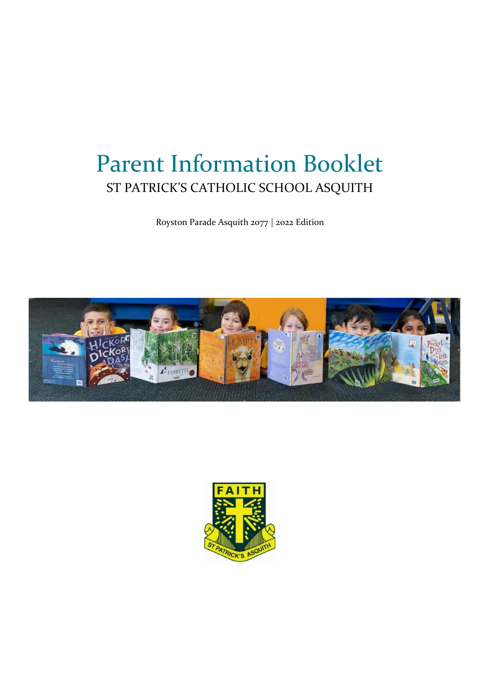# Parent Information Booklet ST PATRICK'S CATHOLIC SCHOOL ASQUITH

Royston Parade Asquith 2077 | 2022 Edition



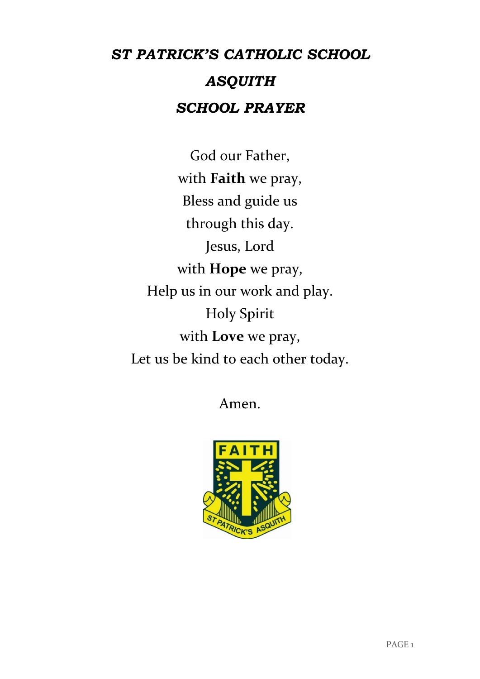# *ST PATRICK'S CATHOLIC SCHOOL ASQUITH SCHOOL PRAYER*

God our Father, with **Faith** we pray, Bless and guide us through this day. Jesus, Lord with **Hope** we pray, Help us in our work and play. Holy Spirit with **Love** we pray, Let us be kind to each other today.

Amen.

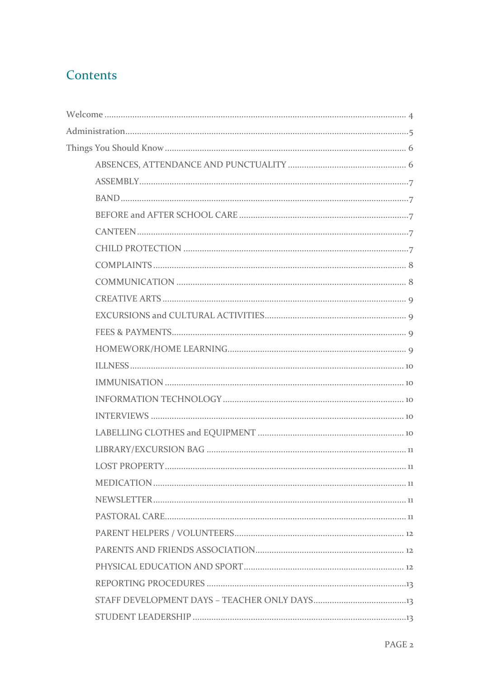# Contents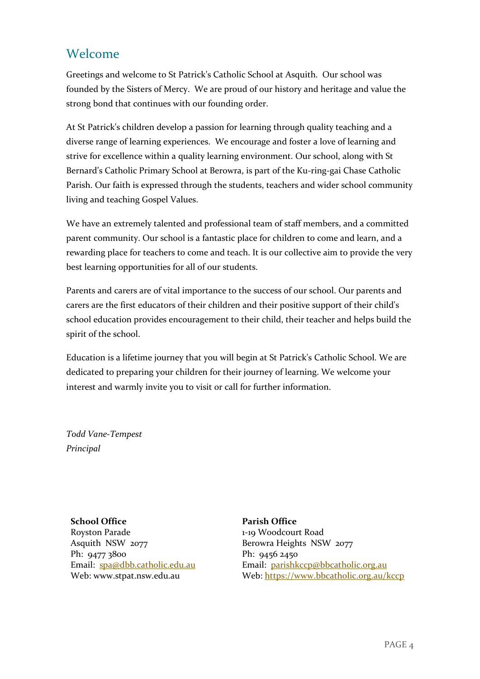## <span id="page-4-0"></span>Welcome

Greetings and welcome to St Patrick's Catholic School at Asquith. Our school was founded by the Sisters of Mercy. We are proud of our history and heritage and value the strong bond that continues with our founding order.

At St Patrick's children develop a passion for learning through quality teaching and a diverse range of learning experiences. We encourage and foster a love of learning and strive for excellence within a quality learning environment. Our school, along with St Bernard's Catholic Primary School at Berowra, is part of the Ku-ring-gai Chase Catholic Parish. Our faith is expressed through the students, teachers and wider school community living and teaching Gospel Values.

We have an extremely talented and professional team of staff members, and a committed parent community. Our school is a fantastic place for children to come and learn, and a rewarding place for teachers to come and teach. It is our collective aim to provide the very best learning opportunities for all of our students.

Parents and carers are of vital importance to the success of our school. Our parents and carers are the first educators of their children and their positive support of their child's school education provides encouragement to their child, their teacher and helps build the spirit of the school.

Education is a lifetime journey that you will begin at St Patrick's Catholic School. We are dedicated to preparing your children for their journey of learning. We welcome your interest and warmly invite you to visit or call for further information.

*Todd Vane-Tempest Principal*

**School Office**

Royston Parade Asquith NSW 2077 Ph: 9477 3800 Email: [spa@dbb.catholic.edu.au](mailto:spa@dbb.catholic.edu.au) Web: www.stpat.nsw.edu.au

**Parish Office** 1-19 Woodcourt Road Berowra Heights NSW 2077 Ph: 9456 2450 Email: [parishkccp@bbcatholic.org.au](mailto:parishkccp@bbcatholic.org.au) Web:<https://www.bbcatholic.org.au/kccp>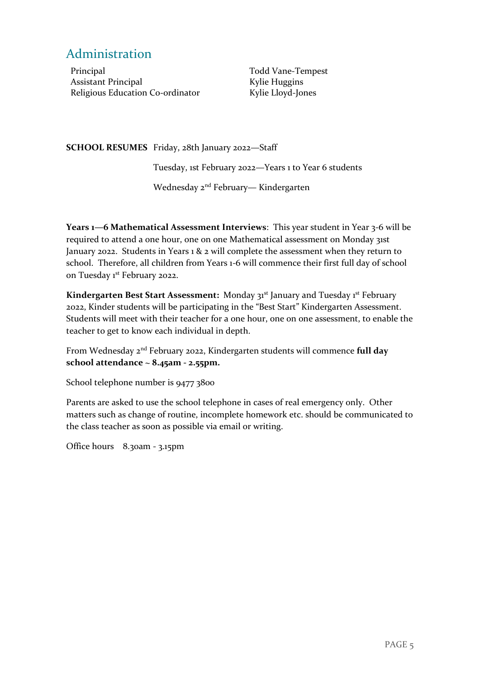## <span id="page-5-0"></span>Administration

Principal Assistant Principal Religious Education Co-ordinator Todd Vane-Tempest Kylie Huggins Kylie Lloyd-Jones

**SCHOOL RESUMES** Friday, 28th January 2022—Staff

Tuesday, 1st February 2022—Years 1 to Year 6 students

Wednesday 2<sup>nd</sup> February— Kindergarten

**Years 1—6 Mathematical Assessment Interviews**: This year student in Year 3-6 will be required to attend a one hour, one on one Mathematical assessment on Monday 31st January 2022. Students in Years 1 & 2 will complete the assessment when they return to school. Therefore, all children from Years 1-6 will commence their first full day of school on Tuesday 1<sup>st</sup> February 2022.

**Kindergarten Best Start Assessment:** Monday 31st January and Tuesday 1st February 2022, Kinder students will be participating in the "Best Start" Kindergarten Assessment. Students will meet with their teacher for a one hour, one on one assessment, to enable the teacher to get to know each individual in depth.

From Wednesday 2nd February 2022, Kindergarten students will commence **full day school attendance ~ 8.45am - 2.55pm.**

School telephone number is 9477 3800

Parents are asked to use the school telephone in cases of real emergency only. Other matters such as change of routine, incomplete homework etc. should be communicated to the class teacher as soon as possible via email or writing.

Office hours 8.30am - 3.15pm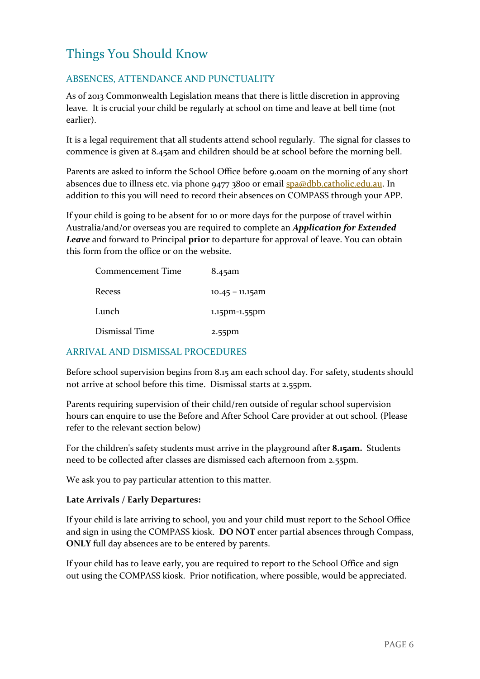# <span id="page-6-0"></span>Things You Should Know

### <span id="page-6-1"></span>ABSENCES, ATTENDANCE AND PUNCTUALITY

As of 2013 Commonwealth Legislation means that there is little discretion in approving leave. It is crucial your child be regularly at school on time and leave at bell time (not earlier).

It is a legal requirement that all students attend school regularly. The signal for classes to commence is given at 8.45am and children should be at school before the morning bell.

Parents are asked to inform the School Office before 9.00am on the morning of any short absences due to illness etc. via phone 9477 3800 or email [spa@dbb.catholic.edu.au.](mailto:spa@dbb.catholic.edu.au) In addition to this you will need to record their absences on COMPASS through your APP.

If your child is going to be absent for 10 or more days for the purpose of travel within Australia/and/or overseas you are required to complete an *Application for Extended Leave* and forward to Principal **prior** to departure for approval of leave. You can obtain this form from the office or on the website.

| Commencement Time | 8.45am             |
|-------------------|--------------------|
| Recess            | $10.45 - 11.15$ am |
| Lunch             | 1.15pm-1.55pm      |
| Dismissal Time    | $2.55$ pm          |

#### ARRIVAL AND DISMISSAL PROCEDURES

Before school supervision begins from 8.15 am each school day. For safety, students should not arrive at school before this time. Dismissal starts at 2.55pm.

Parents requiring supervision of their child/ren outside of regular school supervision hours can enquire to use the Before and After School Care provider at out school. (Please refer to the relevant section below)

For the children's safety students must arrive in the playground after **8.15am.** Students need to be collected after classes are dismissed each afternoon from 2.55pm.

We ask you to pay particular attention to this matter.

#### **Late Arrivals / Early Departures:**

If your child is late arriving to school, you and your child must report to the School Office and sign in using the COMPASS kiosk. **DO NOT** enter partial absences through Compass, **ONLY** full day absences are to be entered by parents.

<span id="page-6-2"></span>If your child has to leave early, you are required to report to the School Office and sign out using the COMPASS kiosk. Prior notification, where possible, would be appreciated.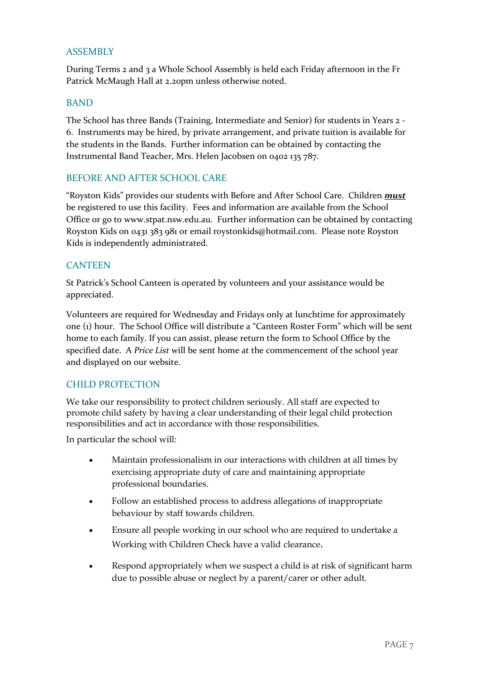#### ASSEMBLY

During Terms 2 and 3 a Whole School Assembly is held each Friday afternoon in the Fr Patrick McMaugh Hall at 2.20pm unless otherwise noted.

#### <span id="page-7-0"></span>BAND

The School has three Bands (Training, Intermediate and Senior) for students in Years 2 - 6. Instruments may be hired, by private arrangement, and private tuition is available for the students in the Bands. Further information can be obtained by contacting the Instrumental Band Teacher, Mrs. Helen Jacobsen on 0402 135 787.

#### <span id="page-7-1"></span>BEFORE AND AFTER SCHOOL CARE

"Royston Kids" provides our students with Before and After School Care. Children *must* be registered to use this facility. Fees and information are available from the School Office or go to www.stpat.nsw.edu.au. Further information can be obtained by contacting Royston Kids on 0431 383 981 or email roystonkids@hotmail.com. Please note Royston Kids is independently administrated.

#### <span id="page-7-2"></span>**CANTEEN**

St Patrick's School Canteen is operated by volunteers and your assistance would be appreciated.

Volunteers are required for Wednesday and Fridays only at lunchtime for approximately one (1) hour. The School Office will distribute a "Canteen Roster Form" which will be sent home to each family. If you can assist, please return the form to School Office by the specified date. A *Price List* will be sent home at the commencement of the school year and displayed on our website.

#### <span id="page-7-3"></span>CHILD PROTECTION

We take our responsibility to protect children seriously. All staff are expected to promote child safety by having a clear understanding of their legal child protection responsibilities and act in accordance with those responsibilities.

In particular the school will:

- Maintain professionalism in our interactions with children at all times by exercising appropriate duty of care and maintaining appropriate professional boundaries.
- Follow an established process to address allegations of inappropriate behaviour by staff towards children.
- Ensure all people working in our school who are required to undertake a Working with Children Check have a valid clearance.
- Respond appropriately when we suspect a child is at risk of significant harm due to possible abuse or neglect by a parent/carer or other adult.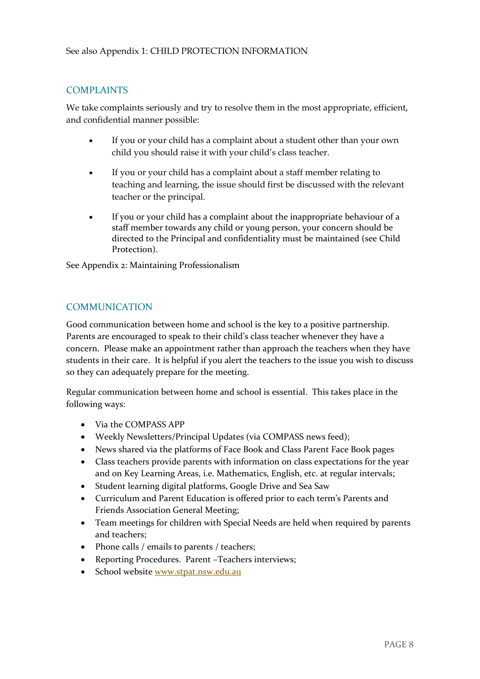### <span id="page-8-0"></span>COMPLAINTS

We take complaints seriously and try to resolve them in the most appropriate, efficient, and confidential manner possible:

- If you or your child has a complaint about a student other than your own child you should raise it with your child's class teacher.
- If you or your child has a complaint about a staff member relating to teaching and learning, the issue should first be discussed with the relevant teacher or the principal.
- If you or your child has a complaint about the inappropriate behaviour of a staff member towards any child or young person, your concern should be directed to the Principal and confidentiality must be maintained (see Child Protection).

See Appendix 2: Maintaining Professionalism

### <span id="page-8-1"></span>COMMUNICATION

Good communication between home and school is the key to a positive partnership. Parents are encouraged to speak to their child's class teacher whenever they have a concern. Please make an appointment rather than approach the teachers when they have students in their care. It is helpful if you alert the teachers to the issue you wish to discuss so they can adequately prepare for the meeting.

Regular communication between home and school is essential. This takes place in the following ways:

- Via the COMPASS APP
- Weekly Newsletters/Principal Updates (via COMPASS news feed);
- News shared via the platforms of Face Book and Class Parent Face Book pages
- Class teachers provide parents with information on class expectations for the year and on Key Learning Areas, i.e. Mathematics, English, etc. at regular intervals;
- Student learning digital platforms, Google Drive and Sea Saw
- Curriculum and Parent Education is offered prior to each term's Parents and Friends Association General Meeting;
- Team meetings for children with Special Needs are held when required by parents and teachers;
- Phone calls / emails to parents / teachers;
- Reporting Procedures. Parent –Teachers interviews;
- <span id="page-8-2"></span>• School website [www.stpat.nsw.edu.au](http://www.stpat.nsw.edu.au/)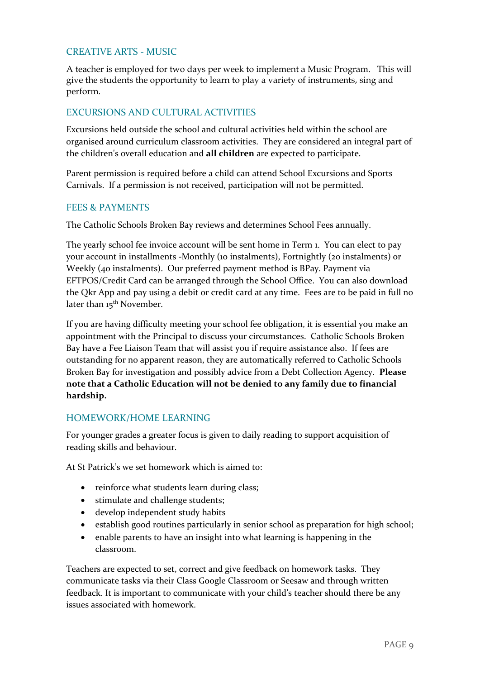#### CREATIVE ARTS - MUSIC

A teacher is employed for two days per week to implement a Music Program. This will give the students the opportunity to learn to play a variety of instruments, sing and perform.

#### <span id="page-9-0"></span>EXCURSIONS AND CULTURAL ACTIVITIES

Excursions held outside the school and cultural activities held within the school are organised around curriculum classroom activities. They are considered an integral part of the children's overall education and **all children** are expected to participate.

Parent permission is required before a child can attend School Excursions and Sports Carnivals. If a permission is not received, participation will not be permitted.

#### <span id="page-9-1"></span>FEES & PAYMENTS

The Catholic Schools Broken Bay reviews and determines School Fees annually.

The yearly school fee invoice account will be sent home in Term 1. You can elect to pay your account in installments -Monthly (10 instalments), Fortnightly (20 instalments) or Weekly (40 instalments). Our preferred payment method is BPay. Payment via EFTPOS/Credit Card can be arranged through the School Office. You can also download the Qkr App and pay using a debit or credit card at any time. Fees are to be paid in full no later than 15<sup>th</sup> November.

If you are having difficulty meeting your school fee obligation, it is essential you make an appointment with the Principal to discuss your circumstances. Catholic Schools Broken Bay have a Fee Liaison Team that will assist you if require assistance also. If fees are outstanding for no apparent reason, they are automatically referred to Catholic Schools Broken Bay for investigation and possibly advice from a Debt Collection Agency. **Please note that a Catholic Education will not be denied to any family due to financial hardship.**

#### <span id="page-9-2"></span>HOMEWORK/HOME LEARNING

For younger grades a greater focus is given to daily reading to support acquisition of reading skills and behaviour.

At St Patrick's we set homework which is aimed to:

- reinforce what students learn during class;
- stimulate and challenge students;
- develop independent study habits
- establish good routines particularly in senior school as preparation for high school;
- enable parents to have an insight into what learning is happening in the classroom.

Teachers are expected to set, correct and give feedback on homework tasks. They communicate tasks via their Class Google Classroom or Seesaw and through written feedback. It is important to communicate with your child's teacher should there be any issues associated with homework.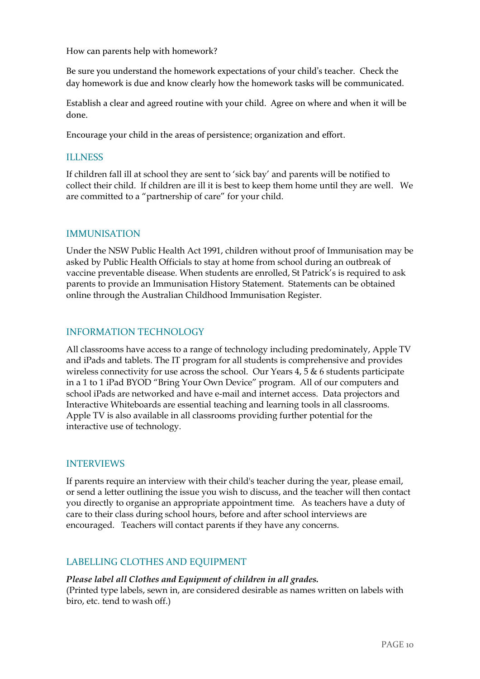How can parents help with homework?

Be sure you understand the homework expectations of your child's teacher. Check the day homework is due and know clearly how the homework tasks will be communicated.

Establish a clear and agreed routine with your child. Agree on where and when it will be done.

Encourage your child in the areas of persistence; organization and effort.

#### <span id="page-10-0"></span>ILLNESS

If children fall ill at school they are sent to 'sick bay' and parents will be notified to collect their child. If children are ill it is best to keep them home until they are well. We are committed to a "partnership of care" for your child.

#### <span id="page-10-1"></span>IMMUNISATION

Under the NSW Public Health Act 1991, children without proof of Immunisation may be asked by Public Health Officials to stay at home from school during an outbreak of vaccine preventable disease. When students are enrolled, St Patrick's is required to ask parents to provide an Immunisation History Statement. Statements can be obtained online through the Australian Childhood Immunisation Register.

#### <span id="page-10-2"></span>INFORMATION TECHNOLOGY

All classrooms have access to a range of technology including predominately, Apple TV and iPads and tablets. The IT program for all students is comprehensive and provides wireless connectivity for use across the school. Our Years  $4, 5 \& 6$  students participate in a 1 to 1 iPad BYOD "Bring Your Own Device" program. All of our computers and school iPads are networked and have e-mail and internet access. Data projectors and Interactive Whiteboards are essential teaching and learning tools in all classrooms. Apple TV is also available in all classrooms providing further potential for the interactive use of technology.

#### <span id="page-10-3"></span>INTERVIEWS

If parents require an interview with their child's teacher during the year, please email, or send a letter outlining the issue you wish to discuss, and the teacher will then contact you directly to organise an appropriate appointment time. As teachers have a duty of care to their class during school hours, before and after school interviews are encouraged. Teachers will contact parents if they have any concerns.

#### <span id="page-10-4"></span>LABELLING CLOTHES AND EQUIPMENT

*Please label all Clothes and Equipment of children in all grades.*  (Printed type labels, sewn in, are considered desirable as names written on labels with biro, etc. tend to wash off.)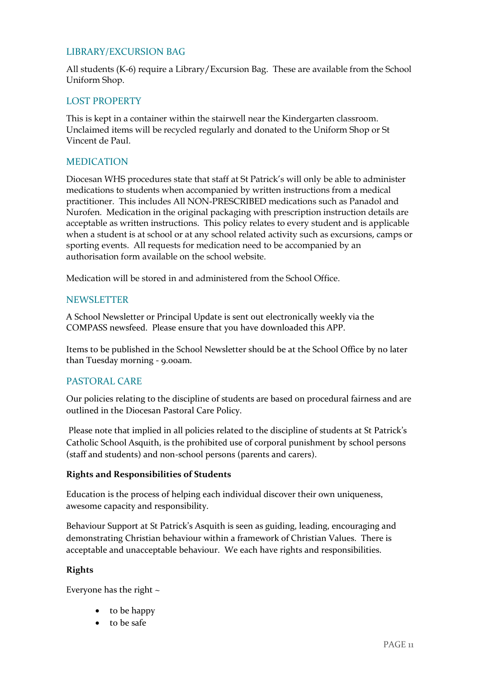#### <span id="page-11-0"></span>LIBRARY/EXCURSION BAG

All students (K-6) require a Library/Excursion Bag. These are available from the School Uniform Shop.

#### <span id="page-11-1"></span>LOST PROPERTY

This is kept in a container within the stairwell near the Kindergarten classroom. Unclaimed items will be recycled regularly and donated to the Uniform Shop or St Vincent de Paul.

#### <span id="page-11-2"></span>MEDICATION

Diocesan WHS procedures state that staff at St Patrick's will only be able to administer medications to students when accompanied by written instructions from a medical practitioner. This includes All NON-PRESCRIBED medications such as Panadol and Nurofen. Medication in the original packaging with prescription instruction details are acceptable as written instructions. This policy relates to every student and is applicable when a student is at school or at any school related activity such as excursions, camps or sporting events. All requests for medication need to be accompanied by an authorisation form available on the school website.

Medication will be stored in and administered from the School Office.

#### <span id="page-11-3"></span>NEWSLETTER

A School Newsletter or Principal Update is sent out electronically weekly via the COMPASS newsfeed. Please ensure that you have downloaded this APP.

Items to be published in the School Newsletter should be at the School Office by no later than Tuesday morning - 9.00am.

#### <span id="page-11-4"></span>PASTORAL CARE

Our policies relating to the discipline of students are based on procedural fairness and are outlined in the Diocesan Pastoral Care Policy.

Please note that implied in all policies related to the discipline of students at St Patrick's Catholic School Asquith, is the prohibited use of corporal punishment by school persons (staff and students) and non-school persons (parents and carers).

#### **Rights and Responsibilities of Students**

Education is the process of helping each individual discover their own uniqueness, awesome capacity and responsibility.

Behaviour Support at St Patrick's Asquith is seen as guiding, leading, encouraging and demonstrating Christian behaviour within a framework of Christian Values. There is acceptable and unacceptable behaviour. We each have rights and responsibilities.

#### **Rights**

Everyone has the right  $\sim$ 

- to be happy
- to be safe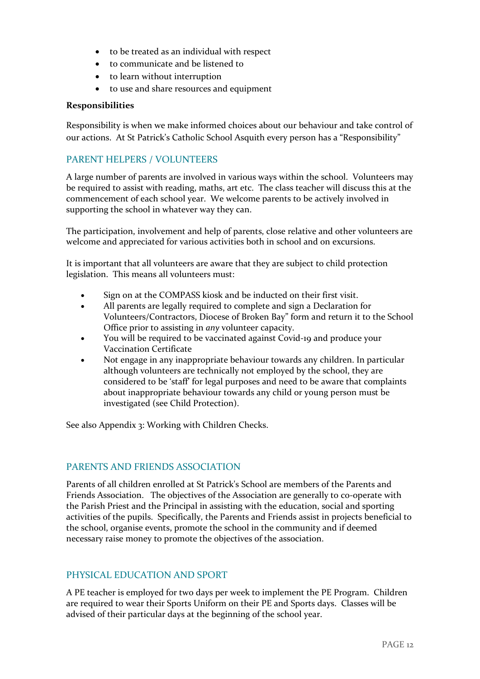- to be treated as an individual with respect
- to communicate and be listened to
- to learn without interruption
- to use and share resources and equipment

#### **Responsibilities**

Responsibility is when we make informed choices about our behaviour and take control of our actions. At St Patrick's Catholic School Asquith every person has a "Responsibility"

#### <span id="page-12-0"></span>PARENT HELPERS / VOLUNTEERS

A large number of parents are involved in various ways within the school. Volunteers may be required to assist with reading, maths, art etc. The class teacher will discuss this at the commencement of each school year. We welcome parents to be actively involved in supporting the school in whatever way they can.

The participation, involvement and help of parents, close relative and other volunteers are welcome and appreciated for various activities both in school and on excursions.

It is important that all volunteers are aware that they are subject to child protection legislation. This means all volunteers must:

- Sign on at the COMPASS kiosk and be inducted on their first visit.
- All parents are legally required to complete and sign a Declaration for Volunteers/Contractors, Diocese of Broken Bay" form and return it to the School Office prior to assisting in *any* volunteer capacity.
- You will be required to be vaccinated against Covid-19 and produce your Vaccination Certificate
- Not engage in any inappropriate behaviour towards any children. In particular although volunteers are technically not employed by the school, they are considered to be 'staff' for legal purposes and need to be aware that complaints about inappropriate behaviour towards any child or young person must be investigated (see Child Protection).

See also Appendix 3: Working with Children Checks.

#### <span id="page-12-1"></span>PARENTS AND FRIENDS ASSOCIATION

Parents of all children enrolled at St Patrick's School are members of the Parents and Friends Association. The objectives of the Association are generally to co-operate with the Parish Priest and the Principal in assisting with the education, social and sporting activities of the pupils. Specifically, the Parents and Friends assist in projects beneficial to the school, organise events, promote the school in the community and if deemed necessary raise money to promote the objectives of the association.

#### <span id="page-12-2"></span>PHYSICAL EDUCATION AND SPORT

A PE teacher is employed for two days per week to implement the PE Program. Children are required to wear their Sports Uniform on their PE and Sports days. Classes will be advised of their particular days at the beginning of the school year.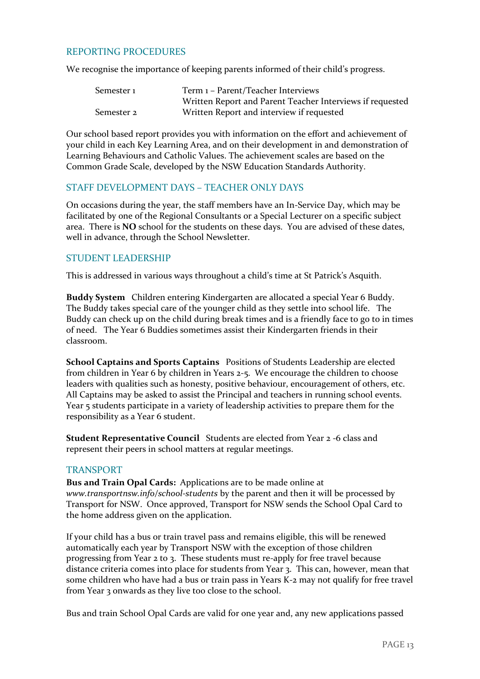#### <span id="page-13-0"></span>REPORTING PROCEDURES

We recognise the importance of keeping parents informed of their child's progress.

| Semester 1 | Term 1 - Parent/Teacher Interviews                        |
|------------|-----------------------------------------------------------|
|            | Written Report and Parent Teacher Interviews if requested |
| Semester 2 | Written Report and interview if requested                 |

Our school based report provides you with information on the effort and achievement of your child in each Key Learning Area, and on their development in and demonstration of Learning Behaviours and Catholic Values. The achievement scales are based on the Common Grade Scale, developed by the NSW Education Standards Authority.

#### <span id="page-13-1"></span>STAFF DEVELOPMENT DAYS – TEACHER ONLY DAYS

On occasions during the year, the staff members have an In-Service Day, which may be facilitated by one of the Regional Consultants or a Special Lecturer on a specific subject area. There is **NO** school for the students on these days. You are advised of these dates, well in advance, through the School Newsletter.

#### <span id="page-13-2"></span>STUDENT LEADERSHIP

This is addressed in various ways throughout a child's time at St Patrick's Asquith.

**Buddy System** Children entering Kindergarten are allocated a special Year 6 Buddy. The Buddy takes special care of the younger child as they settle into school life. The Buddy can check up on the child during break times and is a friendly face to go to in times of need. The Year 6 Buddies sometimes assist their Kindergarten friends in their classroom.

**School Captains and Sports Captains** Positions of Students Leadership are elected from children in Year 6 by children in Years 2-5. We encourage the children to choose leaders with qualities such as honesty, positive behaviour, encouragement of others, etc. All Captains may be asked to assist the Principal and teachers in running school events. Year 5 students participate in a variety of leadership activities to prepare them for the responsibility as a Year 6 student.

**Student Representative Council** Students are elected from Year 2 -6 class and represent their peers in school matters at regular meetings.

#### <span id="page-13-3"></span>TRANSPORT

**Bus and Train Opal Cards:** Applications are to be made online at *www.transportnsw.info/school-students* by the parent and then it will be processed by Transport for NSW. Once approved, Transport for NSW sends the School Opal Card to the home address given on the application.

If your child has a bus or train travel pass and remains eligible, this will be renewed automatically each year by Transport NSW with the exception of those children progressing from Year 2 to 3. These students must re-apply for free travel because distance criteria comes into place for students from Year 3. This can, however, mean that some children who have had a bus or train pass in Years K-2 may not qualify for free travel from Year 3 onwards as they live too close to the school.

Bus and train School Opal Cards are valid for one year and, any new applications passed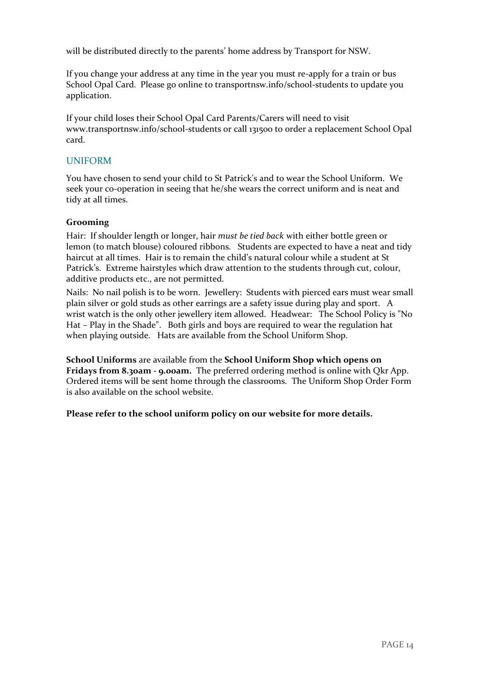will be distributed directly to the parents' home address by Transport for NSW.

If you change your address at any time in the year you must re-apply for a train or bus School Opal Card. Please go online to transportnsw.info/school-students to update you application.

If your child loses their School Opal Card Parents/Carers will need to visit www.transportnsw.info/school-students or call 131500 to order a replacement School Opal card.

#### <span id="page-14-0"></span>UNIFORM

You have chosen to send your child to St Patrick's and to wear the School Uniform. We seek your co-operation in seeing that he/she wears the correct uniform and is neat and tidy at all times.

#### **Grooming**

Hair: If shoulder length or longer, hair *must be tied back* with either bottle green or lemon (to match blouse) coloured ribbons. Students are expected to have a neat and tidy haircut at all times. Hair is to remain the child's natural colour while a student at St Patrick's. Extreme hairstyles which draw attention to the students through cut, colour, additive products etc., are not permitted.

Nails: No nail polish is to be worn. Jewellery: Students with pierced ears must wear small plain silver or gold studs as other earrings are a safety issue during play and sport. A wrist watch is the only other jewellery item allowed. Headwear: The School Policy is "No Hat – Play in the Shade". Both girls and boys are required to wear the regulation hat when playing outside. Hats are available from the School Uniform Shop.

**School Uniforms** are available from the **School Uniform Shop which opens on Fridays from 8.30am - 9.00am.** The preferred ordering method is online with Qkr App. Ordered items will be sent home through the classrooms. The Uniform Shop Order Form is also available on the school website.

**Please refer to the school uniform policy on our website for more details.**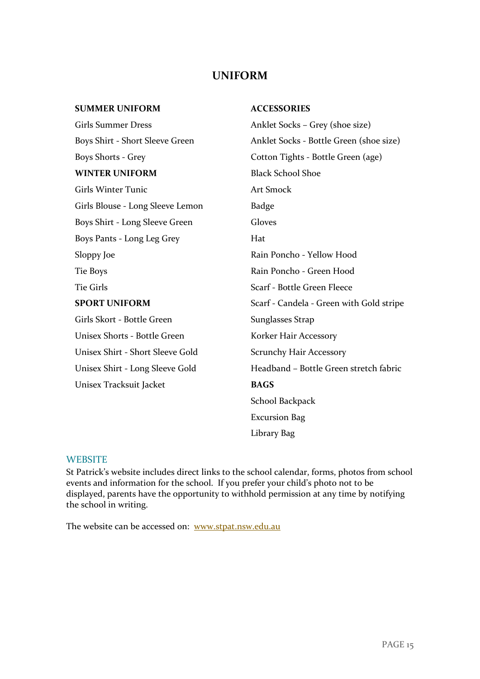### **UNIFORM**

| <b>SUMMER UNIFORM</b>            | <b>ACCESSORIES</b>                       |  |
|----------------------------------|------------------------------------------|--|
| <b>Girls Summer Dress</b>        | Anklet Socks - Grey (shoe size)          |  |
| Boys Shirt - Short Sleeve Green  | Anklet Socks - Bottle Green (shoe size)  |  |
| <b>Boys Shorts - Grey</b>        | Cotton Tights - Bottle Green (age)       |  |
| <b>WINTER UNIFORM</b>            | <b>Black School Shoe</b>                 |  |
| <b>Girls Winter Tunic</b>        | <b>Art Smock</b>                         |  |
| Girls Blouse - Long Sleeve Lemon | <b>Badge</b>                             |  |
| Boys Shirt - Long Sleeve Green   | Gloves                                   |  |
| Boys Pants - Long Leg Grey       | Hat                                      |  |
| Sloppy Joe                       | Rain Poncho - Yellow Hood                |  |
| <b>Tie Boys</b>                  | Rain Poncho - Green Hood                 |  |
| <b>Tie Girls</b>                 | Scarf - Bottle Green Fleece              |  |
| <b>SPORT UNIFORM</b>             | Scarf - Candela - Green with Gold stripe |  |
| Girls Skort - Bottle Green       | Sunglasses Strap                         |  |
| Unisex Shorts - Bottle Green     | Korker Hair Accessory                    |  |
| Unisex Shirt - Short Sleeve Gold | <b>Scrunchy Hair Accessory</b>           |  |
| Unisex Shirt - Long Sleeve Gold  | Headband - Bottle Green stretch fabric   |  |
| Unisex Tracksuit Jacket          | <b>BAGS</b>                              |  |
|                                  | School Backpack                          |  |
|                                  | <b>Excursion Bag</b>                     |  |
|                                  | Library Bag                              |  |

#### <span id="page-15-0"></span>**WEBSITE**

St Patrick's website includes direct links to the school calendar, forms, photos from school events and information for the school. If you prefer your child's photo not to be displayed, parents have the opportunity to withhold permission at any time by notifying the school in writing.

The website can be accessed on: [www.stpat.nsw.edu.au](http://www.stpat.nsw.edu.au/)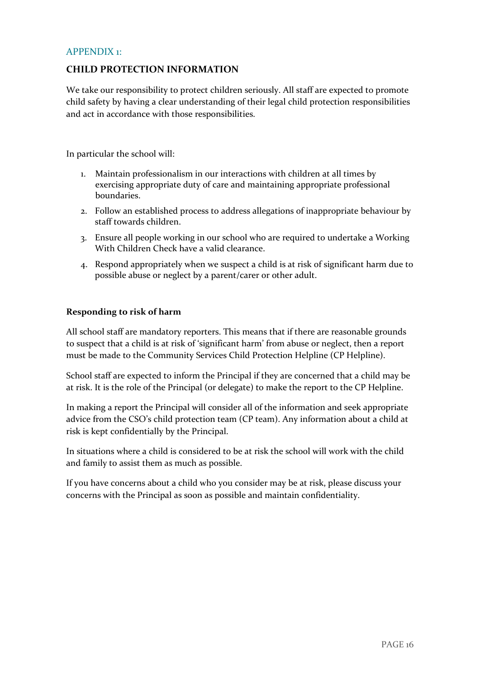#### <span id="page-16-0"></span>APPENDIX 1:

#### **CHILD PROTECTION INFORMATION**

We take our responsibility to protect children seriously. All staff are expected to promote child safety by having a clear understanding of their legal child protection responsibilities and act in accordance with those responsibilities.

In particular the school will:

- 1. Maintain professionalism in our interactions with children at all times by exercising appropriate duty of care and maintaining appropriate professional boundaries.
- 2. Follow an established process to address allegations of inappropriate behaviour by staff towards children.
- 3. Ensure all people working in our school who are required to undertake a Working With Children Check have a valid clearance.
- 4. Respond appropriately when we suspect a child is at risk of significant harm due to possible abuse or neglect by a parent/carer or other adult.

#### **Responding to risk of harm**

All school staff are mandatory reporters. This means that if there are reasonable grounds to suspect that a child is at risk of 'significant harm' from abuse or neglect, then a report must be made to the Community Services Child Protection Helpline (CP Helpline).

School staff are expected to inform the Principal if they are concerned that a child may be at risk. It is the role of the Principal (or delegate) to make the report to the CP Helpline.

In making a report the Principal will consider all of the information and seek appropriate advice from the CSO's child protection team (CP team). Any information about a child at risk is kept confidentially by the Principal.

In situations where a child is considered to be at risk the school will work with the child and family to assist them as much as possible.

If you have concerns about a child who you consider may be at risk, please discuss your concerns with the Principal as soon as possible and maintain confidentiality.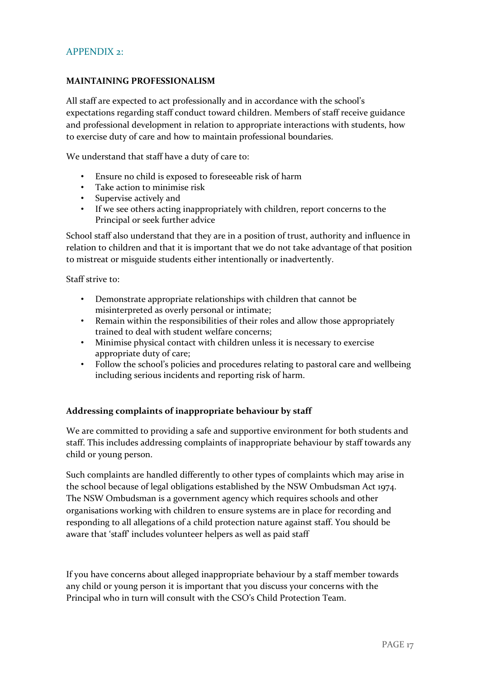#### <span id="page-17-0"></span>APPENDIX  $2$ .

#### **MAINTAINING PROFESSIONALISM**

All staff are expected to act professionally and in accordance with the school's expectations regarding staff conduct toward children. Members of staff receive guidance and professional development in relation to appropriate interactions with students, how to exercise duty of care and how to maintain professional boundaries.

We understand that staff have a duty of care to:

- Ensure no child is exposed to foreseeable risk of harm
- Take action to minimise risk
- Supervise actively and
- If we see others acting inappropriately with children, report concerns to the Principal or seek further advice

School staff also understand that they are in a position of trust, authority and influence in relation to children and that it is important that we do not take advantage of that position to mistreat or misguide students either intentionally or inadvertently.

Staff strive to:

- Demonstrate appropriate relationships with children that cannot be misinterpreted as overly personal or intimate;
- Remain within the responsibilities of their roles and allow those appropriately trained to deal with student welfare concerns;
- Minimise physical contact with children unless it is necessary to exercise appropriate duty of care;
- Follow the school's policies and procedures relating to pastoral care and wellbeing including serious incidents and reporting risk of harm.

#### **Addressing complaints of inappropriate behaviour by staff**

We are committed to providing a safe and supportive environment for both students and staff. This includes addressing complaints of inappropriate behaviour by staff towards any child or young person.

Such complaints are handled differently to other types of complaints which may arise in the school because of legal obligations established by the NSW Ombudsman Act 1974. The NSW Ombudsman is a government agency which requires schools and other organisations working with children to ensure systems are in place for recording and responding to all allegations of a child protection nature against staff. You should be aware that 'staff' includes volunteer helpers as well as paid staff

If you have concerns about alleged inappropriate behaviour by a staff member towards any child or young person it is important that you discuss your concerns with the Principal who in turn will consult with the CSO's Child Protection Team.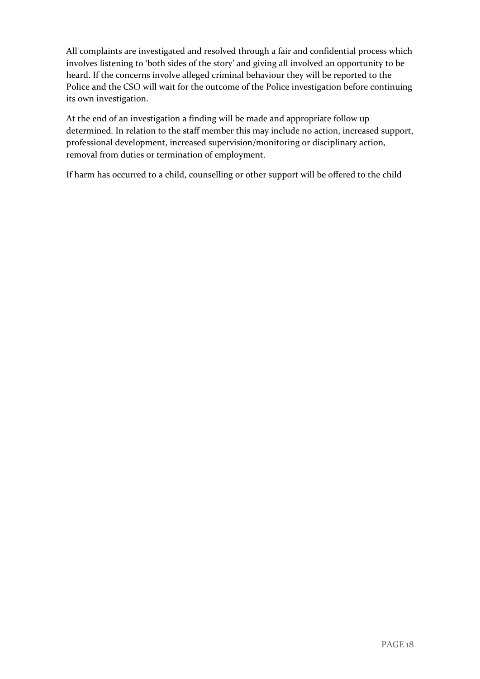All complaints are investigated and resolved through a fair and confidential process which involves listening to 'both sides of the story' and giving all involved an opportunity to be heard. If the concerns involve alleged criminal behaviour they will be reported to the Police and the CSO will wait for the outcome of the Police investigation before continuing its own investigation.

At the end of an investigation a finding will be made and appropriate follow up determined. In relation to the staff member this may include no action, increased support, professional development, increased supervision/monitoring or disciplinary action, removal from duties or termination of employment.

If harm has occurred to a child, counselling or other support will be offered to the child